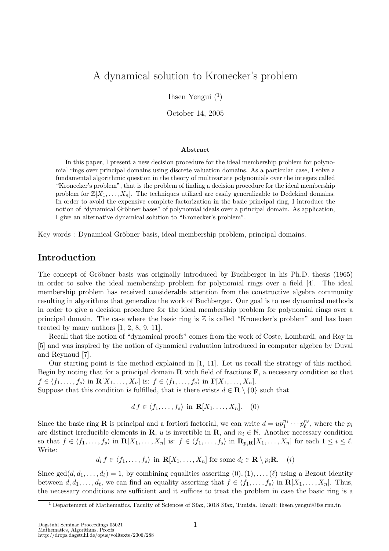# A dynamical solution to Kronecker's problem

Ihsen Yengui  $(1)$ 

October 14, 2005

#### Abstract

In this paper, I present a new decision procedure for the ideal membership problem for polynomial rings over principal domains using discrete valuation domains. As a particular case, I solve a fundamental algorithmic question in the theory of multivariate polynomials over the integers called "Kronecker's problem", that is the problem of finding a decision procedure for the ideal membership problem for  $\mathbb{Z}[X_1,\ldots,X_n]$ . The techniques utilized are easily generalizable to Dedekind domains. In order to avoid the expensive complete factorization in the basic principal ring, I introduce the notion of "dynamical Gröbner bases" of polynomial ideals over a principal domain. As application, I give an alternative dynamical solution to "Kronecker's problem".

Key words : Dynamical Gröbner basis, ideal membership problem, principal domains.

## Introduction

The concept of Gröbner basis was originally introduced by Buchberger in his Ph.D. thesis (1965) in order to solve the ideal membership problem for polynomial rings over a field [4]. The ideal membership problem has received considerable attention from the constructive algebra community resulting in algorithms that generalize the work of Buchberger. Our goal is to use dynamical methods in order to give a decision procedure for the ideal membership problem for polynomial rings over a principal domain. The case where the basic ring is  $\mathbb Z$  is called "Kronecker's problem" and has been treated by many authors [1, 2, 8, 9, 11].

Recall that the notion of "dynamical proofs" comes from the work of Coste, Lombardi, and Roy in [5] and was inspired by the notion of dynamical evaluation introduced in computer algebra by Duval and Reynaud [7].

Our starting point is the method explained in [1, 11]. Let us recall the strategy of this method. Begin by noting that for a principal domain  $\bf{R}$  with field of fractions  $\bf{F}$ , a necessary condition so that  $f \in \langle f_1, \ldots, f_s \rangle$  in  $\mathbf{R}[X_1, \ldots, X_n]$  is:  $f \in \langle f_1, \ldots, f_s \rangle$  in  $\mathbf{F}[X_1, \ldots, X_n]$ .

Suppose that this condition is fulfilled, that is there exists  $d \in \mathbf{R} \setminus \{0\}$  such that

$$
df \in \langle f_1, \dots, f_s \rangle \text{ in } \mathbf{R}[X_1, \dots, X_n]. \quad (0)
$$

Since the basic ring **R** is principal and a fortiori factorial, we can write  $d = up_1^{n_1} \cdots p_\ell^{n_\ell}$ , where the  $p_i$ are distinct irreducible elements in R, u is invertible in R, and  $n_i \in \mathbb{N}$ . Another necessary condition so that  $f \in \langle f_1, \ldots, f_s \rangle$  in  $\mathbf{R}[X_1, \ldots, X_n]$  is:  $f \in \langle f_1, \ldots, f_s \rangle$  in  $\mathbf{R}_{p_i} \mathbf{R}[X_1, \ldots, X_n]$  for each  $1 \leq i \leq \ell$ . Write:

 $d_i f \in \langle f_1, \ldots, f_s \rangle$  in  $\mathbf{R}[X_1, \ldots, X_n]$  for some  $d_i \in \mathbf{R} \setminus p_i \mathbf{R}$ . (i)

Since  $gcd(d, d_1, \ldots, d_\ell) = 1$ , by combining equalities asserting  $(0), (1), \ldots, (\ell)$  using a Bezout identity between  $d, d_1, \ldots, d_\ell$ , we can find an equality asserting that  $f \in \langle f_1, \ldots, f_s \rangle$  in  $\mathbf{R}[X_1, \ldots, X_n]$ . Thus, the necessary conditions are sufficient and it suffices to treat the problem in case the basic ring is a

<sup>&</sup>lt;sup>1</sup> Departement of Mathematics, Faculty of Sciences of Sfax, 3018 Sfax, Tunisia. Email: ihsen.yengui@fss.rnu.tn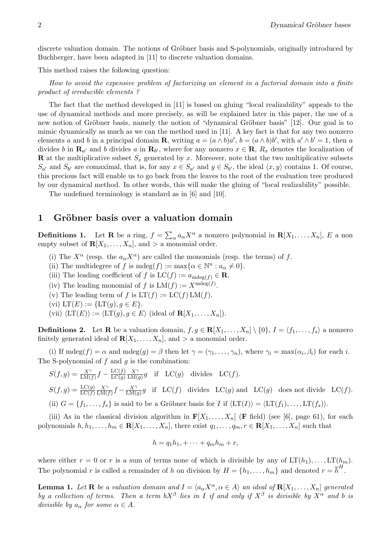discrete valuation domain. The notions of Gröbner basis and S-polynomials, originally introduced by Buchberger, have been adapted in [11] to discrete valuation domains.

This method raises the following question:

How to avoid the expensive problem of factorizing an element in a factorial domain into a finite product of irreducible elements ?

The fact that the method developed in [11] is based on gluing "local realizability" appeals to the use of dynamical methods and more precisely, as will be explained later in this paper, the use of a new notion of Gröbner basis, namely the notion of "dynamical Gröbner basis" [12]. Our goal is to mimic dynamically as much as we can the method used in [11]. A key fact is that for any two nonzero elements a and b in a principal domain **R**, writing  $a = (a \wedge b)a'$ ,  $b = (a \wedge b)b'$ , with  $a' \wedge b' = 1$ , then a divides b in  $\mathbf{R}_{a'}$  and b divides a in  $\mathbf{R}_{b'}$ , where for any nonzero  $x \in \mathbf{R}$ ,  $R_x$  denotes the localization of **R** at the multiplicative subset  $S_x$  generated by x. Moreover, note that the two multiplicative subsets  $S_{a'}$  and  $S_{b'}$  are comaximal, that is, for any  $x \in S_{a'}$  and  $y \in S_{b'}$ , the ideal  $\langle x, y \rangle$  contains 1. Of course, this precious fact will enable us to go back from the leaves to the root of the evaluation tree produced by our dynamical method. In other words, this will make the gluing of "local realizability" possible.

The undefined terminology is standard as in [6] and [10].

## 1 Gröbner basis over a valuation domain

**Definitions 1.** Let **R** be a ring,  $f =$  $\overline{ }$  $_{\alpha} a_{\alpha} X^{\alpha}$  a nonzero polynomial in  $\mathbf{R}[X_1,\ldots,X_n]$ , E a non empty subset of  $\mathbf{R}[X_1, \ldots, X_n]$ , and  $>$  a monomial order.

- (i) The  $X^{\alpha}$  (resp. the  $a_{\alpha}X^{\alpha}$ ) are called the monomials (resp. the terms) of f.
- (ii) The multidegree of f is mdeg(f) :=  $\max{\alpha \in \mathbb{N}^n : a_{\alpha} \neq 0}$ .
- (iii) The leading coefficient of f is  $LC(f) := a_{\text{mdeg}(f)} \in \mathbb{R}$ .
- (iv) The leading monomial of f is  $LM(f) := X^{m \deg(f)}$ .
- (v) The leading term of f is  $LT(f) := LC(f) LM(f)$ .
- (vi)  $LT(E) := \{LT(g), g \in E\}.$
- (vii)  $\langle \mathrm{LT}(E)\rangle := \langle \mathrm{LT}(g), g \in E\rangle$  (ideal of  $\mathbf{R}[X_1, \ldots, X_n]$ ).

**Definitions 2.** Let **R** be a valuation domain,  $f, g \in \mathbb{R}[X_1, \ldots, X_n] \setminus \{0\}, I = \langle f_1, \ldots, f_s \rangle$  a nonzero finitely generated ideal of  $\mathbf{R}[X_1, \ldots, X_n]$ , and  $>$  a monomial order.

(i) If  $\text{mdeg}(f) = \alpha$  and  $\text{mdeg}(g) = \beta$  then let  $\gamma = (\gamma_1, \dots, \gamma_n)$ , where  $\gamma_i = \max(\alpha_i, \beta_i)$  for each i. The S-polynomial of  $f$  and  $g$  is the combination:

$$
S(f,g) = \frac{X^{\gamma}}{\text{LM}(f)} f - \frac{\text{LC}(f)}{\text{LC}(g)} \frac{X^{\gamma}}{\text{LM}(g)} g \quad \text{if} \quad \text{LC}(g) \quad \text{divides} \quad \text{LC}(f).
$$
\n
$$
S(f,g) = \frac{\text{LC}(g)}{\text{LC}(f)} \frac{X^{\gamma}}{\text{LM}(f)} f - \frac{X^{\gamma}}{\text{LM}(g)} g \quad \text{if} \quad \text{LC}(f) \quad \text{divides} \quad \text{LC}(g) \text{ and} \quad \text{LC}(g) \quad \text{does not divide} \quad \text{LC}(f).
$$
\n
$$
\text{(ii)} \ G = \{f_1, \ldots, f_s\} \text{ is said to be a Gr\"obner basis for } I \text{ if } \langle \text{LT}(I) \rangle = \langle \text{LT}(f_1), \ldots, \text{LT}(f_s) \rangle.
$$

(iii) As in the classical division algorithm in  $F[X_1, \ldots, X_n]$  (**F** field) (see [6], page 61), for each polynomials  $h, h_1, \ldots, h_m \in \mathbf{R}[X_1, \ldots, X_n]$ , there exist  $q_1, \ldots, q_m, r \in \mathbf{R}[X_1, \ldots, X_n]$  such that

$$
h = q_1 h_1 + \dots + q_m h_m + r,
$$

where either  $r = 0$  or r is a sum of terms none of which is divisible by any of  $LT(h_1), \ldots, LT(h_m)$ . The polynomial r is called a remainder of h on division by  $H = \{h_1, \ldots, h_m\}$  and denoted  $r = \overline{h}^H$ .

**Lemma 1.** Let **R** be a valuation domain and  $I = \langle a_{\alpha} X^{\alpha}, \alpha \in A \rangle$  an ideal of  $\mathbf{R}[X_1, \ldots, X_n]$  generated by a collection of terms. Then a term  $bX^{\beta}$  lies in I if and only if  $X^{\beta}$  is divisible by  $X^{\alpha}$  and b is divisible by  $a_{\alpha}$  for some  $\alpha \in A$ .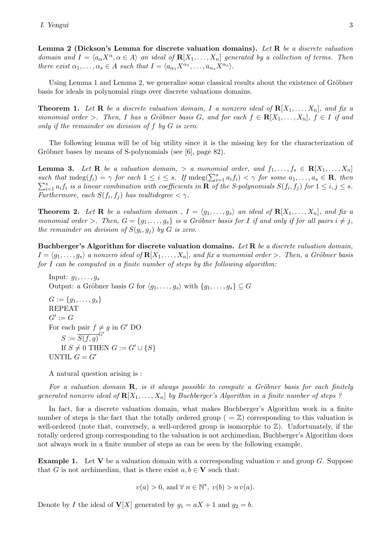Lemma 2 (Dickson's Lemma for discrete valuation domains). Let R be a discrete valuation domain and  $I = \langle a_{\alpha} X^{\alpha}, \alpha \in A \rangle$  an ideal of  $\mathbf{R}[X_1, \ldots, X_n]$  generated by a collection of terms. Then there exist  $\alpha_1, \ldots, \alpha_s \in A$  such that  $I = \langle a_{\alpha_1} X^{\alpha_1}, \ldots, a_{\alpha_s} X^{\alpha_s} \rangle$ .

Using Lemma 1 and Lemma 2, we generalize some classical results about the existence of Gröbner basis for ideals in polynomial rings over discrete valuations domains.

**Theorem 1.** Let **R** be a discrete valuation domain, I a nonzero ideal of  $\mathbf{R}[X_1, \ldots, X_n]$ , and fix a monomial order >. Then, I has a Gröbner basis G, and for each  $f \in \mathbf{R}[X_1, \ldots, X_n]$ ,  $f \in I$  if and only if the remainder on division of f by G is zero.

The following lemma will be of big utility since it is the missing key for the characterization of Gröbner bases by means of S-polynomials (see [6], page 82).

**Lemma 3.** Let **R** be a valuation domain,  $>$  a monomial order, and  $f_1, \ldots, f_s \in \mathbb{R}[X_1, \ldots, X_n]$ **Example 16.** Let  $\mathbf{R}$  be a valuation domain,  $>$  a monomial order, and  $f_1, \ldots, f_s \in \mathbf{R}$ ,  $A_1, \ldots, A_n$  such that  $\text{mdeg}(f_i) = \gamma$  for each  $1 \leq i \leq s$ . If  $\text{mdeg}(\sum_{i=1}^s a_i f_i) < \gamma$  for some  $a_1, \ldots, a_s \in \mathbf{R}$ , the  $s_{i=1}^s a_i f_i$  is a linear combination with coefficients in **R** of the S-polynomials  $S(f_i, f_j)$  for  $1 \leq i, j \leq s$ . Furthermore, each  $S(f_i, f_j)$  has multidegree  $\langle \gamma \rangle$ .

**Theorem 2.** Let **R** be a valuation domain,  $I = \langle g_1, \ldots, g_s \rangle$  an ideal of  $\mathbb{R}[X_1, \ldots, X_n]$ , and fix a monomial order >. Then,  $G = \{g_1, \ldots, g_s\}$  is a Gröbner basis for I if and only if for all pairs  $i \neq j$ , the remainder on division of  $S(g_i, g_j)$  by G is zero.

Buchberger's Algorithm for discrete valuation domains. Let R be a discrete valuation domain,  $I = \langle g_1, \ldots, g_s \rangle$  a nonzero ideal of  $\mathbf{R}[X_1, \ldots, X_n]$ , and fix a monomial order >. Then, a Gröbner basis for I can be computed in a finite number of steps by the following algorithm:

Input:  $g_1, \ldots, g_s$ Output: a Gröbner basis G for  $\langle g_1, \ldots, g_s \rangle$  with  $\{g_1, \ldots, g_s\} \subset G$  $G := \{g_1, \ldots, g_s\}$ REPEAT  $G' := G$ For each pair  $f \neq g$  in  $G'$  DO  $S := \overline{S(f,g)}^{G'}$ If  $S \neq 0$  THEN  $G := G' \cup \{S\}$ UNTIL  $G = G'$ 

A natural question arising is :

For a valuation domain  $\mathbf{R}$ , is it always possible to compute a Gröbner basis for each finitely generated nonzero ideal of  $\mathbf{R}[X_1, \ldots, X_n]$  by Buchberger's Algorithm in a finite number of steps ?

In fact, for a discrete valuation domain, what makes Buchberger's Algorithm work in a finite number of steps is the fact that the totally ordered group ( $=\mathbb{Z}$ ) corresponding to this valuation is well-ordered (note that, conversely, a well-ordered group is isomorphic to  $\mathbb{Z}$ ). Unfortunately, if the totally ordered group corresponding to the valuation is not archimedian, Buchberger's Algorithm does not always work in a finite number of steps as can be seen by the following example.

**Example 1.** Let V be a valuation domain with a corresponding valuation v and group G. Suppose that G is not archimedian, that is there exist  $a, b \in V$  such that:

 $v(a) > 0$ , and  $\forall n \in \mathbb{N}^*, v(b) > n v(a)$ .

Denote by I the ideal of  $V[X]$  generated by  $g_1 = aX + 1$  and  $g_2 = b$ .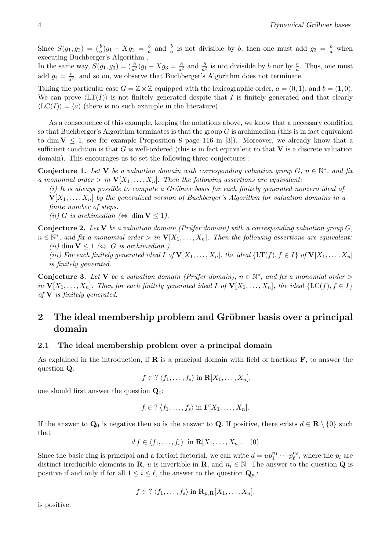Since  $S(g_1, g_2) = \left(\frac{b}{a}\right)g_1 - Xg_2 = \frac{b}{a}$  $\frac{b}{a}$  and  $\frac{b}{a}$  is not divisible by b, then one must add  $g_3 = \frac{b}{a}$  when executing Buchberger's Algorithm .

In the same way,  $S(g_1, g_3) = (\frac{b}{a^2})g_1 - Xg_3 = \frac{b}{a^2}$  $\frac{b}{a^2}$  and  $\frac{b}{a^2}$  is not divisible by b nor by  $\frac{b}{a}$ . Thus, one must add  $g_4 = \frac{b}{a^2}$  $\frac{b}{a^2}$ , and so on, we observe that Buchberger's Algorithm does not terminate.

Taking the particular case  $G = \mathbb{Z} \times \mathbb{Z}$  equipped with the lexicographic order,  $a = (0, 1)$ , and  $b = (1, 0)$ . We can prove  $\langle \text{LT}(I) \rangle$  is not finitely generated despite that I is finitely generated and that clearly  $\langle \text{LC}(I) \rangle = \langle a \rangle$  (there is no such example in the literature).

As a consequence of this example, keeping the notations above, we know that a necessary condition so that Buchberger's Algorithm terminates is that the group  $G$  is archimedian (this is in fact equivalent to dim  $V \leq 1$ , see for example Proposition 8 page 116 in [3]). Moreover, we already know that a sufficient condition is that G is well-ordered (this is in fact equivalent to that  $V$  is a discrete valuation domain). This encourages us to set the following three conjectures :

**Conjecture 1.** Let V be a valuation domain with corresponding valuation group  $G$ ,  $n \in \mathbb{N}^*$ , and fix a monomial order  $> in \mathbf{V}[X_1, \ldots, X_n]$ . Then the following assertions are equivalent:

 $(i)$  It is always possible to compute a Gröbner basis for each finitely generated nonzero ideal of  ${\bf V}[X_1,\ldots,X_n]$  by the generalized version of Buchberger's Algorithm for valuation domains in a finite number of steps.

(ii) G is archimedian ( $\Leftrightarrow$  dim  $V \le 1$ ).

**Conjecture 2.** Let V be a valuation domain (Prüfer domain) with a corresponding valuation group  $G$ ,  $n \in \mathbb{N}^*$ , and fix a monomial order  $> in$   ${\bf V}[X_1,\ldots,X_n]$ . Then the following assertions are equivalent:

(ii) dim  $V \leq 1 \Leftrightarrow G$  is archimedian ). (iii) For each finitely generated ideal I of  $\mathbf{V}[X_1,\ldots,X_n]$ , the ideal  $\{\mathrm{LT}(f), f \in I\}$  of  $\mathbf{V}[X_1,\ldots,X_n]$ is finitely generated.

**Conjecture 3.** Let V be a valuation domain (Prüfer domain),  $n \in \mathbb{N}^*$ , and fix a monomial order > in  $\mathbf{V}[X_1,\ldots,X_n]$ . Then for each finitely generated ideal I of  $\mathbf{V}[X_1,\ldots,X_n]$ , the ideal  $\{\mathbf{LC}(f), f \in I\}$ of  $V$  is finitely generated.

# 2 The ideal membership problem and Gröbner basis over a principal domain

## 2.1 The ideal membership problem over a principal domain

As explained in the introduction, if  $\bf{R}$  is a principal domain with field of fractions  $\bf{F}$ , to answer the question Q:

 $f \in ? \langle f_1, \ldots, f_s \rangle$  in  $\mathbf{R}[X_1, \ldots, X_n]$ ,

one should first answer the question  $\mathbf{Q}_0$ :

$$
f \in ? \langle f_1, \ldots, f_s \rangle
$$
 in  $\mathbf{F}[X_1, \ldots, X_n].$ 

If the answer to  $\mathbf{Q}_0$  is negative then so is the answer to  $\mathbf{Q}$ . If positive, there exists  $d \in \mathbf{R} \setminus \{0\}$  such that

$$
df \in \langle f_1, \dots, f_s \rangle \text{ in } \mathbf{R}[X_1, \dots, X_n]. \quad (0)
$$

Since the basic ring is principal and a fortiori factorial, we can write  $d = up_1^{n_1} \cdots p_\ell^{n_\ell}$ , where the  $p_i$  are distinct irreducible elements in **R**, u is invertible in **R**, and  $n_i \in \mathbb{N}$ . The answer to the question **Q** is positive if and only if for all  $1 \leq i \leq \ell$ , the answer to the question  $\mathbf{Q}_{p_i}$ :

$$
f \in ? \langle f_1, \ldots, f_s \rangle
$$
 in  $\mathbf{R}_{p_i} \mathbf{R}[X_1, \ldots, X_n],$ 

is positive.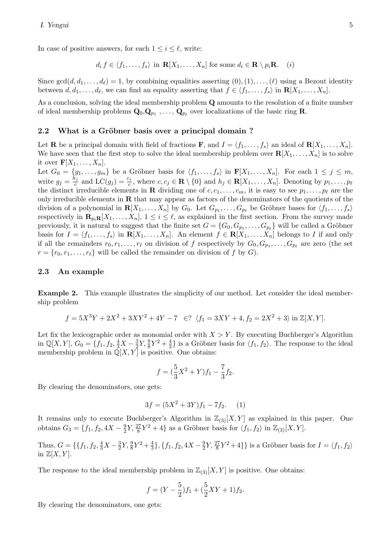In case of positive answers, for each  $1 \leq i \leq \ell$ , write:

$$
d_i f \in \langle f_1, \dots, f_s \rangle \text{ in } \mathbf{R}[X_1, \dots, X_n] \text{ for some } d_i \in \mathbf{R} \setminus p_i \mathbf{R}. \quad (i)
$$

Since  $gcd(d, d_1, \ldots, d_\ell) = 1$ , by combining equalities asserting  $(0), (1), \ldots, (\ell)$  using a Bezout identity between  $d, d_1, \ldots, d_\ell$ , we can find an equality asserting that  $f \in \langle f_1, \ldots, f_s \rangle$  in  $\mathbf{R}[X_1, \ldots, X_n]$ .

As a conclusion, solving the ideal membership problem Q amounts to the resolution of a finite number of ideal membership problems  $Q_0, Q_{p_1}, \ldots, Q_{p_\ell}$  over localizations of the basic ring R.

## 2.2 What is a Gröbner basis over a principal domain?

Let **R** be a principal domain with field of fractions **F**, and  $I = \langle f_1, \ldots, f_s \rangle$  an ideal of  $\mathbf{R}[X_1, \ldots, X_n]$ . We have seen that the first step to solve the ideal membership problem over  $\mathbf{R}[X_1, \ldots, X_n]$  is to solve it over  $\mathbf{F}[X_1,\ldots,X_n].$ 

Let  $G_0 = \{g_1, \ldots, g_m\}$  be a Gröbner basis for  $\langle f_1, \ldots, f_s \rangle$  in  $\mathbf{F}[X_1, \ldots, X_n]$ . For each  $1 \leq j \leq m$ , write  $g_j = \frac{h_j}{c}$  $\frac{h_j}{c}$  and  $LC(g_j) = \frac{c_j}{c}$ , where  $c, c_j \in \mathbf{R} \setminus \{0\}$  and  $h_j \in \mathbf{R}[X_1, \ldots, X_n]$ . Denoting by  $p_1, \ldots, p_\ell$ the distinct irreducible elements in **R** dividing one of  $c, c_1, \ldots, c_m$ , it is easy to see  $p_1, \ldots, p_\ell$  are the only irreducible elements in  **that may appear as factors of the denominators of the quotients of the** division of a polynomial in  $\mathbf{R}[X_1,\ldots,X_n]$  by  $G_0$ . Let  $G_{p_1},\ldots,G_{p_\ell}$  be Gröbner bases for  $\langle f_1,\ldots,f_s\rangle$ respectively in  $\mathbf{R}_{p_i}$ **R** $[X_1, \ldots, X_n]$ ,  $1 \leq i \leq \ell$ , as explained in the first section. From the survey made previously, it is natural to suggest that the finite set  $G = \{G_0, G_{p_1}, \ldots, G_{p_\ell}\}\$  will be called a Gröbner basis for  $I = \langle f_1, \ldots, f_s \rangle$  in  $\mathbf{R}[X_1, \ldots, X_n]$ . An element  $f \in \mathbf{R}[X_1, \ldots, X_n]$  belongs to I if and only if all the remainders  $r_0, r_1, \ldots, r_\ell$  on division of f respectively by  $G_0, G_{p_1}, \ldots, G_{p_\ell}$  are zero (the set  $r = \{r_0, r_1, \ldots, r_\ell\}$  will be called the remainder on division of f by G).

#### 2.3 An example

Example 2. This example illustrates the simplicity of our method. Let consider the ideal membership problem

$$
f = 5X^3Y + 2X^2 + 3XY^2 + 4Y - 7 \in ? \ \langle f_1 = 3XY + 4, f_2 = 2X^2 + 3 \rangle \text{ in } \mathbb{Z}[X, Y].
$$

Let fix the lexicographic order as monomial order with  $X > Y$ . By executing Buchberger's Algorithm in  $\mathbb{Q}[X,Y]$ ,  $G_0 = \{f_1, f_2, \frac{4}{3}X - \frac{3}{2}\}$  $\frac{3}{2}Y, \frac{9}{8}Y^2 + \frac{4}{3}$  $\frac{4}{3}$  is a Gröbner basis for  $\langle f_1, f_2 \rangle$ . The response to the ideal membership problem in  $\mathbb{Q}[X, Y]$  is positive. One obtains:

$$
f = (\frac{5}{3}X^2 + Y)f_1 - \frac{7}{3}f_2.
$$

By clearing the denominators, one gets:

$$
3f = (5X^2 + 3Y)f_1 - 7f_2.
$$
 (1)

It remains only to execute Buchberger's Algorithm in  $\mathbb{Z}_{(3)}[X, Y]$  as explained in this paper. One obtains  $G_3 = \{f_1, f_2, 4X - \frac{9}{2}\}$  $\frac{9}{2}Y, \frac{27}{8}Y^2 + 4$  as a Gröbner basis for  $\langle f_1, f_2 \rangle$  in  $\mathbb{Z}_{(3)}[X, Y]$ .

Thus,  $G = \{ \{f_1, f_2, \frac{4}{3}X - \frac{3}{2} \}$  $\frac{3}{2}Y, \frac{9}{8}Y^2 + \frac{4}{3}$  $\frac{4}{3}$ , { $f_1, f_2, 4X - \frac{9}{2}$  $\frac{9}{2}Y, \frac{27}{8}Y^2 + 4$ } is a Gröbner basis for  $I = \langle f_1, f_2 \rangle$ in  $\mathbb{Z}[X, Y]$ .

The response to the ideal membership problem in  $\mathbb{Z}_{(3)}[X, Y]$  is positive. One obtains:

$$
f = (Y - \frac{5}{2})f_1 + (\frac{5}{2}XY + 1)f_2.
$$

By clearing the denominators, one gets: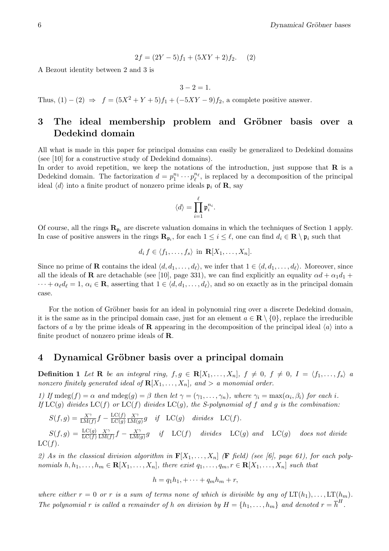$$
2f = (2Y - 5)f_1 + (5XY + 2)f_2.
$$
 (2)

A Bezout identity between 2 and 3 is

$$
3 - 2 = 1
$$
.

Thus,  $(1) - (2) \Rightarrow f = (5X^2 + Y + 5)f_1 + (-5XY - 9)f_2$ , a complete positive answer.

## 3 The ideal membership problem and Gröbner basis over a Dedekind domain

All what is made in this paper for principal domains can easily be generalized to Dedekind domains (see [10] for a constructive study of Dedekind domains).

In order to avoid repetition, we keep the notations of the introduction, just suppose that  $\bf{R}$  is a Dedekind domain. The factorization  $d = p_1^{n_1} \cdots p_\ell^{n_\ell}$ , is replaced by a decomposition of the principal ideal  $\langle d \rangle$  into a finite product of nonzero prime ideals  $\mathfrak{p}_i$  of **R**, say

$$
\langle d \rangle = \prod_{i=1}^\ell \mathfrak{p}_i^{n_i}.
$$

Of course, all the rings  $\mathbf{R}_{\mathfrak{p}_i}$  are discrete valuation domains in which the techniques of Section 1 apply. In case of positive answers in the rings  $\mathbf{R}_{\mathfrak{p}_i}$ , for each  $1 \leq i \leq \ell$ , one can find  $d_i \in \mathbf{R} \setminus \mathfrak{p}_i$  such that

$$
d_i f \in \langle f_1, \ldots, f_s \rangle \text{ in } \mathbf{R}[X_1, \ldots, X_n].
$$

Since no prime of **R** contains the ideal  $\langle d, d_1, \ldots, d_\ell \rangle$ , we infer that  $1 \in \langle d, d_1, \ldots, d_\ell \rangle$ . Moreover, since all the ideals of **R** are detachable (see [10], page 331), we can find explicitly an equality  $\alpha d + \alpha_1 d_1 + \alpha_2 d_2$  $\cdots + \alpha_{\ell} d_{\ell} = 1, \, \alpha_i \in \mathbb{R}$ , asserting that  $1 \in \langle d, d_1, \ldots, d_{\ell} \rangle$ , and so on exactly as in the principal domain case.

For the notion of Gröbner basis for an ideal in polynomial ring over a discrete Dedekind domain, it is the same as in the principal domain case, just for an element  $a \in \mathbf{R} \setminus \{0\}$ , replace the irreducible factors of a by the prime ideals of **R** appearing in the decomposition of the principal ideal  $\langle a \rangle$  into a finite product of nonzero prime ideals of R.

## 4 Dynamical Gröbner basis over a principal domain

**Definition 1** Let **R** be an integral ring,  $f, g \in \mathbb{R}[X_1, \ldots, X_n]$ ,  $f \neq 0$ ,  $f \neq 0$ ,  $I = \langle f_1, \ldots, f_s \rangle$  a nonzero finitely generated ideal of  $\mathbf{R}[X_1, \ldots, X_n]$ , and  $\geq a$  monomial order.

1) If  $\text{mdeg}(f) = \alpha$  and  $\text{mdeg}(g) = \beta$  then let  $\gamma = (\gamma_1, \dots, \gamma_n)$ , where  $\gamma_i = \max(\alpha_i, \beta_i)$  for each i. If  $LC(q)$  divides  $LC(f)$  or  $LC(f)$  divides  $LC(q)$ , the S-polynomial of f and q is the combination:

$$
S(f,g) = \frac{X^{\gamma}}{\text{LM}(f)} f - \frac{\text{LC}(f)}{\text{LC}(g)} \frac{X^{\gamma}}{\text{LM}(g)} g \quad \text{if} \quad \text{LC}(g) \quad \text{divides} \quad \text{LC}(f).
$$
\n
$$
S(f,g) = \frac{\text{LC}(g)}{\text{LC}(f)} \frac{X^{\gamma}}{\text{LM}(f)} f - \frac{X^{\gamma}}{\text{LM}(g)} g \quad \text{if} \quad \text{LC}(f) \quad \text{divides} \quad \text{LC}(g) \quad \text{and} \quad \text{LC}(g) \quad \text{does not divide}
$$
\n
$$
\text{LC}(f).
$$

2) As in the classical division algorithm in  $\mathbf{F}[X_1, \ldots, X_n]$  (**F** field) (see [6], page 61), for each polynomials  $h, h_1, \ldots, h_m \in \mathbf{R}[X_1, \ldots, X_n]$ , there exist  $q_1, \ldots, q_m, r \in \mathbf{R}[X_1, \ldots, X_n]$  such that

$$
h = q_1 h_1 + \dots + q_m h_m + r,
$$

where either  $r = 0$  or r is a sum of terms none of which is divisible by any of  $LT(h_1), \ldots, LT(h_m)$ . The polynomial r is called a remainder of h on division by  $H = \{h_1, \ldots, h_m\}$  and denoted  $r = \overline{h}^H$ .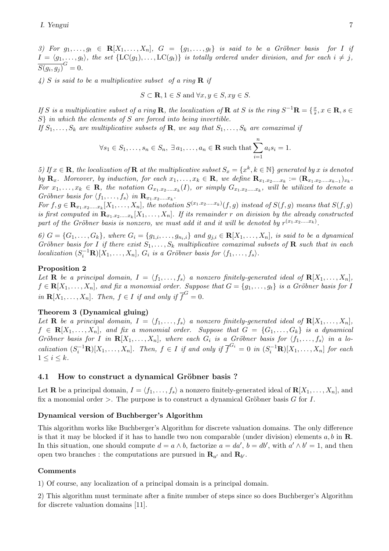3) For  $g_1, \ldots, g_t \in \mathbf{R}[X_1, \ldots, X_n], G = \{g_1, \ldots, g_t\}$  is said to be a Gröbner basis for I if  $I = \langle g_1, \ldots, g_t \rangle$ , the set  $\{LC(g_1), \ldots, LC(g_t)\}$  is totally ordered under division, and for each  $i \neq j$ ,  $\overline{S(g_i, g_j)}^G = 0.$ 

4) S is said to be a multiplicative subset of a ring  $\bf{R}$  if

$$
S \subset \mathbf{R}, 1 \in S \text{ and } \forall x, y \in S, xy \in S.
$$

If S is a multiplicative subset of a ring R, the localization of R at S is the ring  $S^{-1}R = \{\frac{x}{s}\}$  $\frac{x}{s}, x \in \mathbf{R}, s \in$ S in which the elements of S are forced into being invertible.

If  $S_1, \ldots, S_k$  are multiplicative subsets of **R**, we say that  $S_1, \ldots, S_k$  are comaximal if

$$
\forall s_1 \in S_1, \dots, s_n \in S_n, \ \exists a_1, \dots, a_n \in \mathbf{R} \text{ such that } \sum_{i=1}^n a_i s_i = 1.
$$

5) If  $x \in \mathbf{R}$ , the localization of  $\mathbf{R}$  at the multiplicative subset  $S_x = \{x^k, k \in \mathbb{N}\}\$  generated by x is denoted by  $\mathbf{R}_x$ . Moreover, by induction, for each  $x_1, \ldots, x_k \in \mathbf{R}$ , we define  $\mathbf{R}_{x_1.x_2,...x_k} := (\mathbf{R}_{x_1.x_2,...x_{k-1}})_{x_k}$ . For  $x_1, \ldots, x_k \in \mathbf{R}$ , the notation  $G_{x_1, x_2, \ldots, x_k}(I)$ , or simply  $G_{x_1, x_2, \ldots, x_k}$ , will be utilized to denote a Gröbner basis for  $\langle f_1, \ldots, f_s \rangle$  in  $\mathbf{R}_{x_1.x_2,...x_k}$ .

For  $f, g \in \mathbf{R}_{x_1,x_2,...,x_k}[X_1,...,X_n]$ , the notation  $S^{(x_1,x_2,...,x_k)}(f,g)$  instead of  $S(f,g)$  means that  $S(f,g)$ is first computed in  $\mathbf{R}_{x_1,x_2,...,x_k}[X_1,...,X_n]$ . If its remainder r on division by the already constructed part of the Gröbner basis is nonzero, we must add it and it will be denoted by  $r^{(x_1,x_2,...,x_k)}$ .

6)  $G = \{G_1, ..., G_k\}$ , where  $G_i = \{g_{1,i}, ..., g_{n_i,i}\}$  and  $g_{j,i} \in \mathbb{R}[X_1, ..., X_n]$ , is said to be a dynamical Gröbner basis for I if there exist  $S_1, \ldots, S_k$  multiplicative comaximal subsets of **R** such that in each localization  $(S_i^{-1}\mathbf{R})[X_1,\ldots,X_n]$ ,  $G_i$  is a Gröbner basis for  $\langle f_1,\ldots,f_s\rangle$ .

## Proposition 2

Let **R** be a principal domain,  $I = \langle f_1, \ldots, f_s \rangle$  a nonzero finitely-generated ideal of  $\mathbf{R}[X_1, \ldots, X_n]$ ,  $f \in \mathbf{R}[X_1, \ldots, X_n]$ , and fix a monomial order. Suppose that  $G = \{g_1, \ldots, g_t\}$  is a Gröbner basis for I in  $\mathbf{R}[X_1,\ldots,X_n]$ . Then,  $f \in I$  if and only if  $\overline{f}^G = 0$ .

## Theorem 3 (Dynamical gluing)

Let **R** be a principal domain,  $I = \langle f_1, \ldots, f_s \rangle$  a nonzero finitely-generated ideal of  $\mathbf{R}[X_1, \ldots, X_n],$  $f \in \mathbf{R}[X_1,\ldots,X_n]$ , and fix a monomial order. Suppose that  $G = \{G_1,\ldots,G_k\}$  is a dynamical Gröbner basis for I in  $\mathbf{R}[X_1, \ldots, X_n]$ , where each  $G_i$  is a Gröbner basis for  $\langle f_1, \ldots, f_s \rangle$  in a localization  $(S_i^{-1}\mathbf{R})[X_1,\ldots,X_n]$ . Then,  $f \in I$  if and only if  $\overline{f}^{G_i} = 0$  in  $(S_i^{-1}\mathbf{R})[X_1,\ldots,X_n]$  for each  $1 \leq i \leq k$ .

## 4.1 How to construct a dynamical Gröbner basis?

Let **R** be a principal domain,  $I = \langle f_1, \ldots, f_s \rangle$  a nonzero finitely-generated ideal of  $\mathbf{R}[X_1, \ldots, X_n]$ , and fix a monomial order  $\geq$ . The purpose is to construct a dynamical Gröbner basis G for I.

## Dynamical version of Buchberger's Algorithm

This algorithm works like Buchberger's Algorithm for discrete valuation domains. The only difference is that it may be blocked if it has to handle two non comparable (under division) elements a, b in  $\mathbb{R}$ . In this situation, one should compute  $d = a \wedge b$ , factorize  $a = da'$ ,  $b = db'$ , with  $a' \wedge b' = 1$ , and then open two branches : the computations are pursued in  $\mathbf{R}_{a'}$  and  $\mathbf{R}_{b'}$ .

## Comments

1) Of course, any localization of a principal domain is a principal domain.

2) This algorithm must terminate after a finite number of steps since so does Buchberger's Algorithm for discrete valuation domains [11].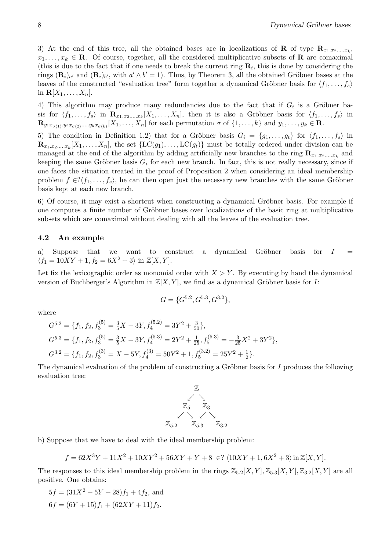3) At the end of this tree, all the obtained bases are in localizations of **R** of type  $\mathbf{R}_{x_1,x_2,...,x_k}$ ,  $x_1, \ldots, x_k \in \mathbf{R}$ . Of course, together, all the considered multiplicative subsets of **R** are comaximal (this is due to the fact that if one needs to break the current ring  $\mathbf{R}_i$ , this is done by considering the rings  $(\mathbf{R}_i)_{a'}$  and  $(\mathbf{R}_i)_{b'}$ , with  $a' \wedge b' = 1$ ). Thus, by Theorem 3, all the obtained Gröbner bases at the leaves of the constructed "evaluation tree" form together a dynamical Gröbner basis for  $\langle f_1, \ldots, f_s \rangle$ in  $\mathbf{R}[X_1,\ldots,X_n].$ 

4) This algorithm may produce many redundancies due to the fact that if  $G_i$  is a Gröbner basis for  $\langle f_1, \ldots, f_s \rangle$  in  $\mathbf{R}_{x_1, x_2, \ldots, x_k}[X_1, \ldots, X_n]$ , then it is also a Gröbner basis for  $\langle f_1, \ldots, f_s \rangle$  in  $\mathbf{R}_{y_1x_{\sigma(1)},y_2x_{\sigma(2)},...,y_kx_{\sigma(k)}}[X_1,...,X_n]$  for each permutation  $\sigma$  of  $\{1,...,k\}$  and  $y_1,...,y_k \in \mathbf{R}$ .

5) The condition in Definition 1.2) that for a Gröbner basis  $G_i = \{g_1, \ldots, g_t\}$  for  $\langle f_1, \ldots, f_s \rangle$  in  $\mathbf{R}_{x_1,x_2,\dots,x_k}[X_1,\ldots,X_n]$ , the set  $\{\mathrm{LC}(g_1),\ldots,\mathrm{LC}(g_t)\}\)$  must be totally ordered under division can be managed at the end of the algorithm by adding artificially new branches to the ring  $\mathbf{R}_{x_1,x_2,...,x_k}$  and keeping the same Gröbner basis  $G_i$  for each new branch. In fact, this is not really necessary, since if one faces the situation treated in the proof of Proposition 2 when considering an ideal membership problem  $f \in \{(\mathcal{f}_1, \ldots, \mathcal{f}_s)\}\)$ , he can then open just the necessary new branches with the same Gröbner basis kept at each new branch.

6) Of course, it may exist a shortcut when constructing a dynamical Gröbner basis. For example if one computes a finite number of Gröbner bases over localizations of the basic ring at multiplicative subsets which are comaximal without dealing with all the leaves of the evaluation tree.

## 4.2 An example

a) Suppose that we want to construct a dynamical Gröbner basis for  $I =$  $\langle f_1 = 10XY + 1, f_2 = 6X^2 + 3 \rangle$  in  $\mathbb{Z}[X, Y]$ .

Let fix the lexicographic order as monomial order with  $X > Y$ . By executing by hand the dynamical version of Buchberger's Algorithm in  $\mathbb{Z}[X, Y]$ , we find as a dynamical Gröbner basis for I:

$$
G = \{G^{5.2}, G^{5.3}, G^{3.2}\},\
$$

where

$$
G^{5.2} = \{f_1, f_2, f_3^{(5)} = \frac{3}{5}X - 3Y, f_4^{(5.2)} = 3Y^2 + \frac{3}{50}\},
$$
  
\n
$$
G^{5.3} = \{f_1, f_2, f_3^{(5)} = \frac{3}{5}X - 3Y, f_4^{(5.3)} = 2Y^2 + \frac{1}{25}, f_5^{(5.3)} = -\frac{3}{25}X^2 + 3Y^2\},
$$
  
\n
$$
G^{3.2} = \{f_1, f_2, f_3^{(3)} = X - 5Y, f_4^{(3)} = 50Y^2 + 1, f_5^{(3.2)} = 25Y^2 + \frac{1}{2}\}.
$$

The dynamical evaluation of the problem of constructing a Gröbner basis for  $I$  produces the following evaluation tree:



b) Suppose that we have to deal with the ideal membership problem:

$$
f = 62X^3Y + 11X^2 + 10XY^2 + 56XY + Y + 8 \in ? \langle 10XY + 1, 6X^2 + 3 \rangle \text{ in } \mathbb{Z}[X, Y].
$$

The responses to this ideal membership problem in the rings  $\mathbb{Z}_{5.2}[X, Y], \mathbb{Z}_{5.3}[X, Y], \mathbb{Z}_{3.2}[X, Y]$  are all positive. One obtains:

$$
5f = (31X^2 + 5Y + 28)f_1 + 4f_2
$$
, and  

$$
6f = (6Y + 15)f_1 + (62XY + 11)f_2.
$$